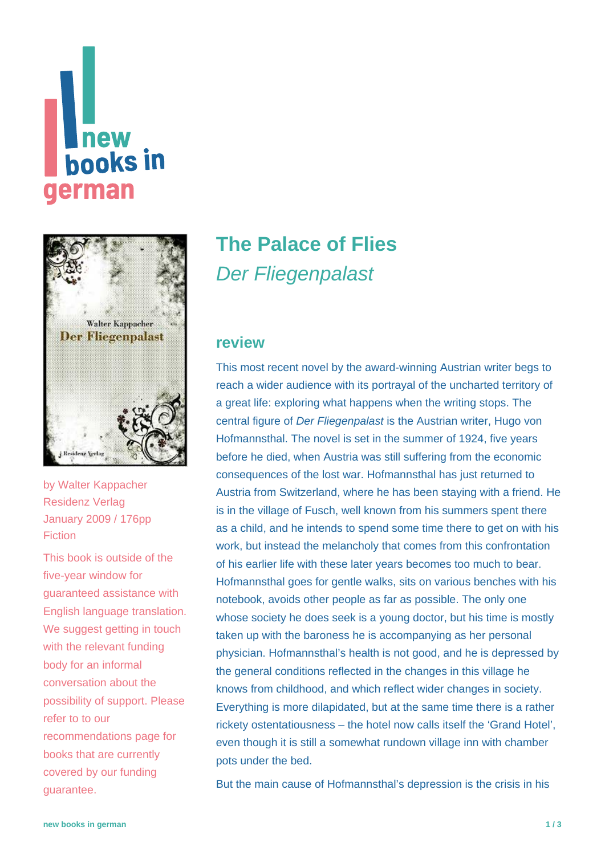# **Inew books** in german



by [Walter Kappacher](https://www.new-books-in-german.com/recommendations/?searchInput=Walter%20Kappacher) Residenz Verlag January 2009 / 176pp **Fiction** 

This book is outside of the five-year window for guaranteed assistance with English language translation. We suggest getting in touch with the relevant funding body for an informal conversation about the possibility of support. Please refer to to our [recommendations page](https://www.new-books-in-german.com/recommendations) for books that are currently covered by our funding guarantee.

# **[The Palace of Flies](https://www.new-books-in-german.com/recommendations/the-palace-of-flies/)** Der Fliegenpalast

#### **review**

This most recent novel by the award-winning Austrian writer begs to reach a wider audience with its portrayal of the uncharted territory of a great life: exploring what happens when the writing stops. The central figure of Der Fliegenpalast is the Austrian writer, Hugo von Hofmannsthal. The novel is set in the summer of 1924, five years before he died, when Austria was still suffering from the economic consequences of the lost war. Hofmannsthal has just returned to Austria from Switzerland, where he has been staying with a friend. He is in the village of Fusch, well known from his summers spent there as a child, and he intends to spend some time there to get on with his work, but instead the melancholy that comes from this confrontation of his earlier life with these later years becomes too much to bear. Hofmannsthal goes for gentle walks, sits on various benches with his notebook, avoids other people as far as possible. The only one whose society he does seek is a young doctor, but his time is mostly taken up with the baroness he is accompanying as her personal physician. Hofmannsthal's health is not good, and he is depressed by the general conditions reflected in the changes in this village he knows from childhood, and which reflect wider changes in society. Everything is more dilapidated, but at the same time there is a rather rickety ostentatiousness – the hotel now calls itself the 'Grand Hotel', even though it is still a somewhat rundown village inn with chamber pots under the bed.

But the main cause of Hofmannsthal's depression is the crisis in his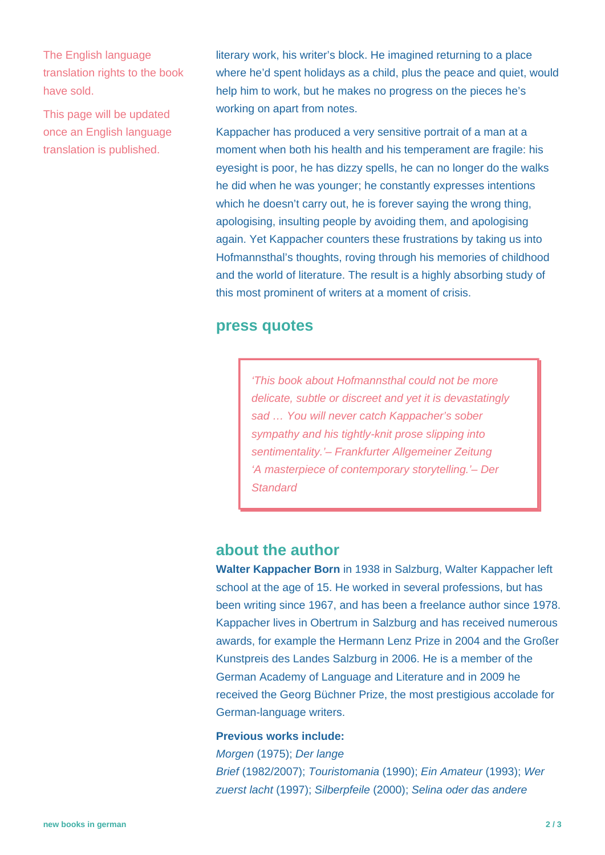The English language translation rights to the book have sold.

This page will be updated once an English language translation is published.

literary work, his writer's block. He imagined returning to a place where he'd spent holidays as a child, plus the peace and quiet, would help him to work, but he makes no progress on the pieces he's working on apart from notes.

Kappacher has produced a very sensitive portrait of a man at a moment when both his health and his temperament are fragile: his eyesight is poor, he has dizzy spells, he can no longer do the walks he did when he was younger; he constantly expresses intentions which he doesn't carry out, he is forever saying the wrong thing, apologising, insulting people by avoiding them, and apologising again. Yet Kappacher counters these frustrations by taking us into Hofmannsthal's thoughts, roving through his memories of childhood and the world of literature. The result is a highly absorbing study of this most prominent of writers at a moment of crisis.

### **press quotes**

'This book about Hofmannsthal could not be more delicate, subtle or discreet and yet it is devastatingly sad ... You will never catch Kappacher's sober sympathy and his tightly-knit prose slipping into sentimentality.'– Frankfurter Allgemeiner Zeitung 'A masterpiece of contemporary storytelling.'– Der **Standard** 

#### **about the author**

**Walter Kappacher Born** in 1938 in Salzburg, Walter Kappacher left school at the age of 15. He worked in several professions, but has been writing since 1967, and has been a freelance author since 1978. Kappacher lives in Obertrum in Salzburg and has received numerous awards, for example the Hermann Lenz Prize in 2004 and the Großer Kunstpreis des Landes Salzburg in 2006. He is a member of the German Academy of Language and Literature and in 2009 he received the Georg Büchner Prize, the most prestigious accolade for German-language writers.

#### **Previous works include:**

Morgen (1975); Der lange Brief (1982/2007); Touristomania (1990); Ein Amateur (1993); Wer zuerst lacht (1997); Silberpfeile (2000); Selina oder das andere